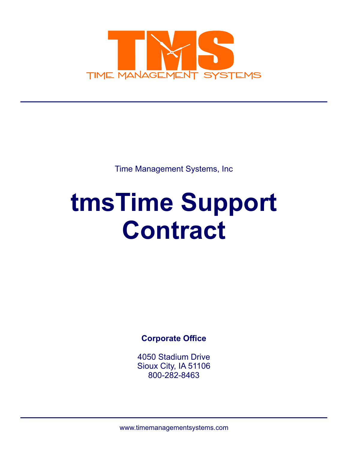

Time Management Systems, Inc

# **tmsTime Support Contract**

**Corporate Office**

4050 Stadium Drive Sioux City, IA 51106 800-282-8463

www.timemanagementsystems.com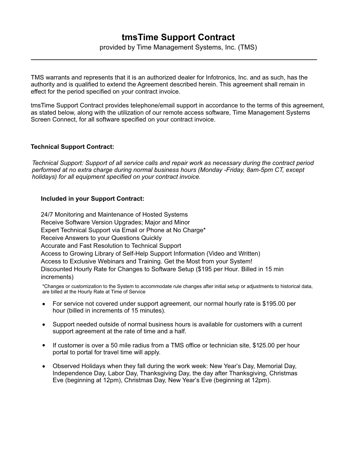# **tmsTime Support Contract**

provided by Time Management Systems, Inc. (TMS)

TMS warrants and represents that it is an authorized dealer for Infotronics, Inc. and as such, has the authority and is qualified to extend the Agreement described herein. This agreement shall remain in effect for the period specified on your contract invoice.

tmsTime Support Contract provides telephone/email support in accordance to the terms of this agreement, as stated below, along with the utilization of our remote access software, Time Management Systems Screen Connect, for all software specified on your contract invoice.

# **Technical Support Contract:**

*Technical Support: Support of all service calls and repair work as necessary during the contract period performed at no extra charge during normal business hours (Monday -Friday, 8am-5pm CT, except holidays) for all equipment specified on your contract invoice.*

## **Included in your Support Contract:**

24/7 Monitoring and Maintenance of Hosted Systems Receive Software Version Upgrades; Major and Minor Expert Technical Support via Email or Phone at No Charge\* Receive Answers to your Questions Quickly Accurate and Fast Resolution to Technical Support Access to Growing Library of Self-Help Support Information (Video and Written) Access to Exclusive Webinars and Training. Get the Most from your System! Discounted Hourly Rate for Changes to Software Setup (\$195 per Hour. Billed in 15 min increments)

\*Changes or customization to the System to accommodate rule changes after initial setup or adjustments to historical data, are billed at the Hourly Rate at Time of Service

- For service not covered under support agreement, our normal hourly rate is \$195.00 per  $\bullet$ hour (billed in increments of 15 minutes).
- Support needed outside of normal business hours is available for customers with a current support agreement at the rate of time and a half.
- If customer is over a 50 mile radius from a TMS office or technician site, \$125.00 per hour portal to portal for travel time will apply.
- Observed Holidays when they fall during the work week: New Year's Day, Memorial Day, Independence Day, Labor Day, Thanksgiving Day, the day after Thanksgiving, Christmas Eve (beginning at 12pm), Christmas Day, New Year's Eve (beginning at 12pm).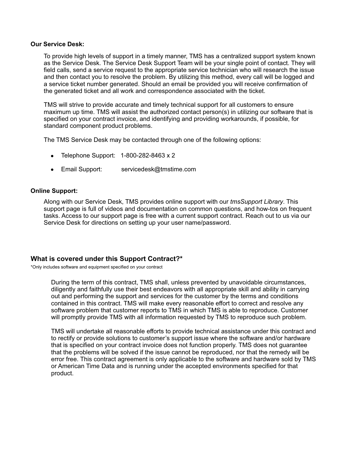#### **Our Service Desk:**

To provide high levels of support in a timely manner, TMS has a centralized support system known as the Service Desk. The Service Desk Support Team will be your single point of contact. They will field calls, send a service request to the appropriate service technician who will research the issue and then contact you to resolve the problem. By utilizing this method, every call will be logged and a service ticket number generated. Should an email be provided you will receive confirmation of the generated ticket and all work and correspondence associated with the ticket.

TMS will strive to provide accurate and timely technical support for all customers to ensure maximum up time. TMS will assist the authorized contact person(s) in utilizing our software that is specified on your contract invoice, and identifying and providing workarounds, if possible, for standard component product problems.

The TMS Service Desk may be contacted through one of the following options:

- Telephone Support: 1-800-282-8463 x 2
- Email Support: servicedesk@tmstime.com

#### **Online Support:**

Along with our Service Desk, TMS provides online support with our *tmsSupport Library*. This support page is full of videos and documentation on common questions, and how-tos on frequent tasks. Access to our support page is free with a current support contract. Reach out to us via our Service Desk for directions on setting up your user name/password.

# **What is covered under this Support Contract?\***

\*Only includes software and equipment specified on your contract

During the term of this contract, TMS shall, unless prevented by unavoidable circumstances, diligently and faithfully use their best endeavors with all appropriate skill and ability in carrying out and performing the support and services for the customer by the terms and conditions contained in this contract. TMS will make every reasonable effort to correct and resolve any software problem that customer reports to TMS in which TMS is able to reproduce. Customer will promptly provide TMS with all information requested by TMS to reproduce such problem.

TMS will undertake all reasonable efforts to provide technical assistance under this contract and to rectify or provide solutions to customer's support issue where the software and/or hardware that is specified on your contract invoice does not function properly. TMS does not guarantee that the problems will be solved if the issue cannot be reproduced, nor that the remedy will be error free. This contract agreement is only applicable to the software and hardware sold by TMS or American Time Data and is running under the accepted environments specified for that product.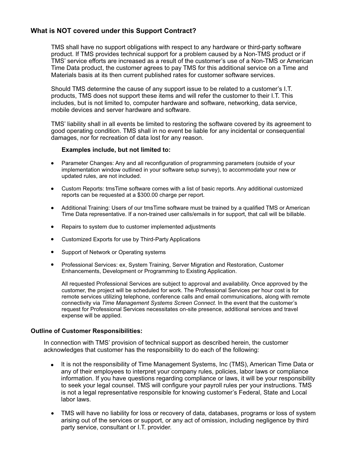# **What is NOT covered under this Support Contract?**

TMS shall have no support obligations with respect to any hardware or third-party software product. If TMS provides technical support for a problem caused by a Non-TMS product or if TMS' service efforts are increased as a result of the customer's use of a Non-TMS or American Time Data product, the customer agrees to pay TMS for this additional service on a Time and Materials basis at its then current published rates for customer software services.

Should TMS determine the cause of any support issue to be related to a customer's I.T. products, TMS does not support these items and will refer the customer to their I.T. This includes, but is not limited to, computer hardware and software, networking, data service, mobile devices and server hardware and software.

TMS' liability shall in all events be limited to restoring the software covered by its agreement to good operating condition. TMS shall in no event be liable for any incidental or consequential damages, nor for recreation of data lost for any reason.

#### **Examples include, but not limited to:**

- Parameter Changes: Any and all reconfiguration of programming parameters (outside of your implementation window outlined in your software setup survey), to accommodate your new or updated rules, are not included.
- Custom Reports: tmsTime software comes with a list of basic reports. Any additional customized reports can be requested at a \$300.00 charge per report.
- Additional Training: Users of our tmsTime software must be trained by a qualified TMS or American Time Data representative. If a non-trained user calls/emails in for support, that call will be billable.
- Repairs to system due to customer implemented adjustments  $\bullet$
- Customized Exports for use by Third-Party Applications  $\bullet$
- Support of Network or Operating systems
- Professional Services: ex, System Training, Server Migration and Restoration, Customer  $\bullet$  . Enhancements, Development or Programming to Existing Application.

All requested Professional Services are subject to approval and availability. Once approved by the customer, the project will be scheduled for work. The Professional Services per hour cost is for remote services utilizing telephone, conference calls and email communications, along with remote connectivity via *Time Management Systems Screen Connect.* In the event that the customer's request for Professional Services necessitates on-site presence, additional services and travel expense will be applied.

#### **Outline of Customer Responsibilities:**

In connection with TMS' provision of technical support as described herein, the customer acknowledges that customer has the responsibility to do each of the following:

- It is not the responsibility of Time Management Systems, Inc (TMS), American Time Data or any of their employees to interpret your company rules, policies, labor laws or compliance information. If you have questions regarding compliance or laws, it will be your responsibility to seek your legal counsel. TMS will configure your payroll rules per your instructions. TMS is not a legal representative responsible for knowing customer's Federal, State and Local labor laws.
- TMS will have no liability for loss or recovery of data, databases, programs or loss of system  $\bullet$ arising out of the services or support, or any act of omission, including negligence by third party service, consultant or I.T. provider.